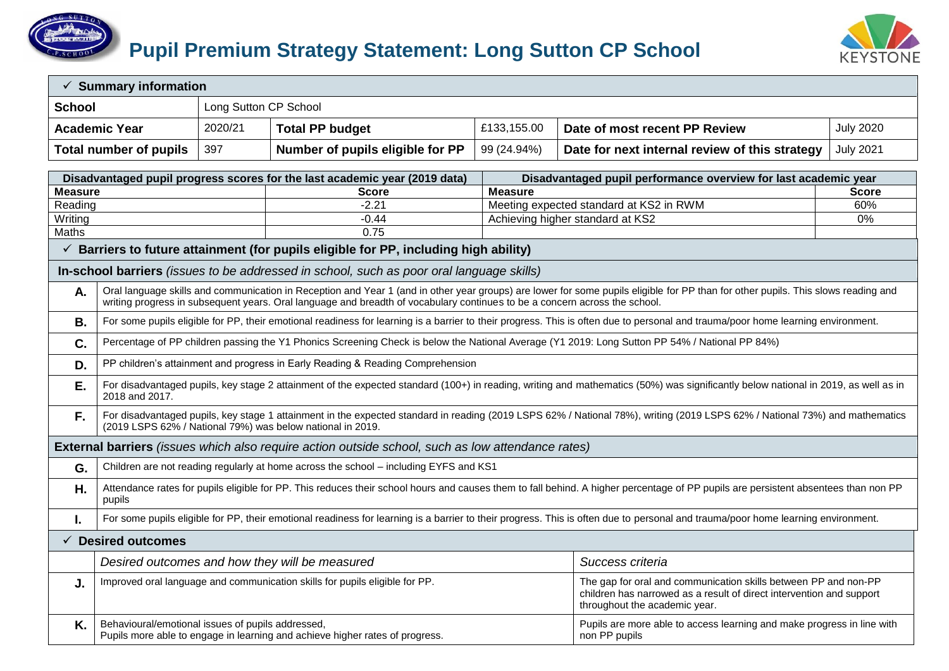



| $\checkmark$ Summary information |                                                                                                              |                                                                                |                                                                                                                            |                                                                                                                                                                                                                              |                                                                                                                                                                                    |                  |  |  |  |
|----------------------------------|--------------------------------------------------------------------------------------------------------------|--------------------------------------------------------------------------------|----------------------------------------------------------------------------------------------------------------------------|------------------------------------------------------------------------------------------------------------------------------------------------------------------------------------------------------------------------------|------------------------------------------------------------------------------------------------------------------------------------------------------------------------------------|------------------|--|--|--|
| <b>School</b>                    |                                                                                                              | Long Sutton CP School                                                          |                                                                                                                            |                                                                                                                                                                                                                              |                                                                                                                                                                                    |                  |  |  |  |
|                                  | <b>Academic Year</b>                                                                                         | 2020/21                                                                        | <b>Total PP budget</b>                                                                                                     | £133,155.00                                                                                                                                                                                                                  | Date of most recent PP Review                                                                                                                                                      | <b>July 2020</b> |  |  |  |
|                                  | <b>Total number of pupils</b>                                                                                | 397                                                                            | Number of pupils eligible for PP                                                                                           | 99 (24.94%)                                                                                                                                                                                                                  | Date for next internal review of this strategy                                                                                                                                     | <b>July 2021</b> |  |  |  |
|                                  |                                                                                                              |                                                                                | Disadvantaged pupil progress scores for the last academic year (2019 data)                                                 |                                                                                                                                                                                                                              | Disadvantaged pupil performance overview for last academic year                                                                                                                    |                  |  |  |  |
| <b>Measure</b>                   |                                                                                                              |                                                                                | <b>Score</b>                                                                                                               | <b>Measure</b>                                                                                                                                                                                                               |                                                                                                                                                                                    | <b>Score</b>     |  |  |  |
| Reading                          |                                                                                                              |                                                                                | $-2.21$                                                                                                                    |                                                                                                                                                                                                                              | Meeting expected standard at KS2 in RWM                                                                                                                                            | 60%              |  |  |  |
| Writing                          |                                                                                                              |                                                                                | $-0.44$                                                                                                                    |                                                                                                                                                                                                                              | Achieving higher standard at KS2                                                                                                                                                   | 0%               |  |  |  |
| Maths                            |                                                                                                              |                                                                                | 0.75                                                                                                                       |                                                                                                                                                                                                                              |                                                                                                                                                                                    |                  |  |  |  |
|                                  |                                                                                                              |                                                                                | $\checkmark$ Barriers to future attainment (for pupils eligible for PP, including high ability)                            |                                                                                                                                                                                                                              |                                                                                                                                                                                    |                  |  |  |  |
|                                  |                                                                                                              |                                                                                | In-school barriers (issues to be addressed in school, such as poor oral language skills)                                   |                                                                                                                                                                                                                              |                                                                                                                                                                                    |                  |  |  |  |
| Α.                               |                                                                                                              |                                                                                | writing progress in subsequent years. Oral language and breadth of vocabulary continues to be a concern across the school. |                                                                                                                                                                                                                              | Oral language skills and communication in Reception and Year 1 (and in other year groups) are lower for some pupils eligible for PP than for other pupils. This slows reading and  |                  |  |  |  |
| В.                               |                                                                                                              |                                                                                |                                                                                                                            |                                                                                                                                                                                                                              | For some pupils eligible for PP, their emotional readiness for learning is a barrier to their progress. This is often due to personal and trauma/poor home learning environment.   |                  |  |  |  |
| C.                               |                                                                                                              |                                                                                |                                                                                                                            |                                                                                                                                                                                                                              | Percentage of PP children passing the Y1 Phonics Screening Check is below the National Average (Y1 2019: Long Sutton PP 54% / National PP 84%)                                     |                  |  |  |  |
| D.                               |                                                                                                              | PP children's attainment and progress in Early Reading & Reading Comprehension |                                                                                                                            |                                                                                                                                                                                                                              |                                                                                                                                                                                    |                  |  |  |  |
| Е.                               | 2018 and 2017.                                                                                               |                                                                                |                                                                                                                            |                                                                                                                                                                                                                              | For disadvantaged pupils, key stage 2 attainment of the expected standard (100+) in reading, writing and mathematics (50%) was significantly below national in 2019, as well as in |                  |  |  |  |
| F.                               |                                                                                                              |                                                                                | (2019 LSPS 62% / National 79%) was below national in 2019.                                                                 |                                                                                                                                                                                                                              | For disadvantaged pupils, key stage 1 attainment in the expected standard in reading (2019 LSPS 62% / National 78%), writing (2019 LSPS 62% / National 73%) and mathematics        |                  |  |  |  |
|                                  |                                                                                                              |                                                                                | <b>External barriers</b> (issues which also require action outside school, such as low attendance rates)                   |                                                                                                                                                                                                                              |                                                                                                                                                                                    |                  |  |  |  |
| G.                               |                                                                                                              |                                                                                | Children are not reading regularly at home across the school - including EYFS and KS1                                      |                                                                                                                                                                                                                              |                                                                                                                                                                                    |                  |  |  |  |
| Η.                               | pupils                                                                                                       |                                                                                |                                                                                                                            |                                                                                                                                                                                                                              | Attendance rates for pupils eligible for PP. This reduces their school hours and causes them to fall behind. A higher percentage of PP pupils are persistent absentees than non PP |                  |  |  |  |
| Ι.                               |                                                                                                              |                                                                                |                                                                                                                            |                                                                                                                                                                                                                              | For some pupils eligible for PP, their emotional readiness for learning is a barrier to their progress. This is often due to personal and trauma/poor home learning environment.   |                  |  |  |  |
|                                  | $\checkmark$ Desired outcomes                                                                                |                                                                                |                                                                                                                            |                                                                                                                                                                                                                              |                                                                                                                                                                                    |                  |  |  |  |
|                                  |                                                                                                              |                                                                                | Desired outcomes and how they will be measured                                                                             |                                                                                                                                                                                                                              | Success criteria                                                                                                                                                                   |                  |  |  |  |
| J.                               | Improved oral language and communication skills for pupils eligible for PP.<br>throughout the academic year. |                                                                                |                                                                                                                            |                                                                                                                                                                                                                              | The gap for oral and communication skills between PP and non-PP<br>children has narrowed as a result of direct intervention and support                                            |                  |  |  |  |
| Κ.                               |                                                                                                              |                                                                                |                                                                                                                            | Behavioural/emotional issues of pupils addressed,<br>Pupils are more able to access learning and make progress in line with<br>Pupils more able to engage in learning and achieve higher rates of progress.<br>non PP pupils |                                                                                                                                                                                    |                  |  |  |  |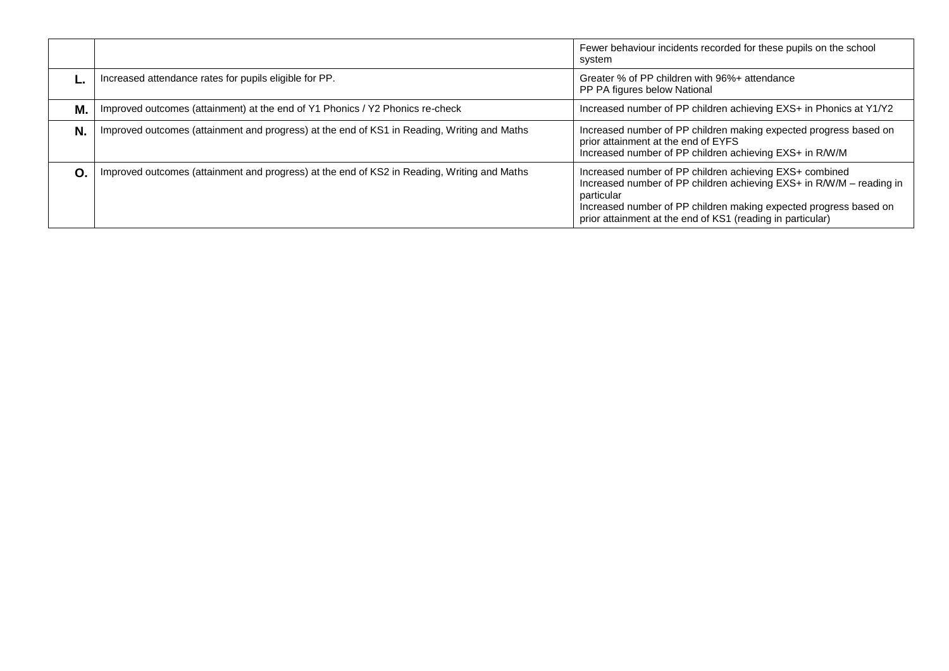|    |                                                                                             | Fewer behaviour incidents recorded for these pupils on the school<br>system                                                                                                                                                                                                      |
|----|---------------------------------------------------------------------------------------------|----------------------------------------------------------------------------------------------------------------------------------------------------------------------------------------------------------------------------------------------------------------------------------|
|    | Increased attendance rates for pupils eligible for PP.                                      | Greater % of PP children with 96%+ attendance<br>PP PA figures below National                                                                                                                                                                                                    |
| М. | Improved outcomes (attainment) at the end of Y1 Phonics / Y2 Phonics re-check               | Increased number of PP children achieving EXS+ in Phonics at Y1/Y2                                                                                                                                                                                                               |
| N. | Improved outcomes (attainment and progress) at the end of KS1 in Reading, Writing and Maths | Increased number of PP children making expected progress based on<br>prior attainment at the end of EYFS<br>Increased number of PP children achieving EXS+ in R/W/M                                                                                                              |
| Ω. | Improved outcomes (attainment and progress) at the end of KS2 in Reading, Writing and Maths | Increased number of PP children achieving EXS+ combined<br>Increased number of PP children achieving EXS+ in R/W/M - reading in<br>particular<br>Increased number of PP children making expected progress based on<br>prior attainment at the end of KS1 (reading in particular) |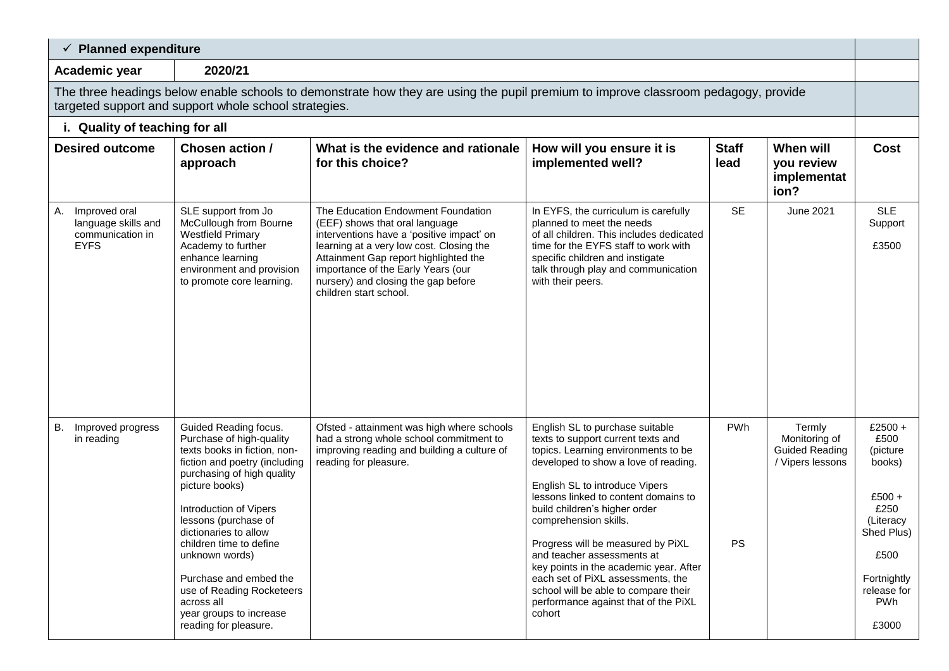| $\checkmark$ Planned expenditure                                                                                                                                                            |                                                                                                                                                                                                                                                                                                                                                                                                                     |                                                                                                                                                                                                                                                                                                               |                                                                                                                                                                                                                                                                                                                                                                                                                                                                                                                                      |                      |                                                                      |                                                                                                                                                     |  |  |
|---------------------------------------------------------------------------------------------------------------------------------------------------------------------------------------------|---------------------------------------------------------------------------------------------------------------------------------------------------------------------------------------------------------------------------------------------------------------------------------------------------------------------------------------------------------------------------------------------------------------------|---------------------------------------------------------------------------------------------------------------------------------------------------------------------------------------------------------------------------------------------------------------------------------------------------------------|--------------------------------------------------------------------------------------------------------------------------------------------------------------------------------------------------------------------------------------------------------------------------------------------------------------------------------------------------------------------------------------------------------------------------------------------------------------------------------------------------------------------------------------|----------------------|----------------------------------------------------------------------|-----------------------------------------------------------------------------------------------------------------------------------------------------|--|--|
| Academic year                                                                                                                                                                               | 2020/21                                                                                                                                                                                                                                                                                                                                                                                                             |                                                                                                                                                                                                                                                                                                               |                                                                                                                                                                                                                                                                                                                                                                                                                                                                                                                                      |                      |                                                                      |                                                                                                                                                     |  |  |
| The three headings below enable schools to demonstrate how they are using the pupil premium to improve classroom pedagogy, provide<br>targeted support and support whole school strategies. |                                                                                                                                                                                                                                                                                                                                                                                                                     |                                                                                                                                                                                                                                                                                                               |                                                                                                                                                                                                                                                                                                                                                                                                                                                                                                                                      |                      |                                                                      |                                                                                                                                                     |  |  |
| i. Quality of teaching for all                                                                                                                                                              |                                                                                                                                                                                                                                                                                                                                                                                                                     |                                                                                                                                                                                                                                                                                                               |                                                                                                                                                                                                                                                                                                                                                                                                                                                                                                                                      |                      |                                                                      |                                                                                                                                                     |  |  |
| <b>Desired outcome</b>                                                                                                                                                                      | Chosen action /<br>approach                                                                                                                                                                                                                                                                                                                                                                                         | What is the evidence and rationale<br>for this choice?                                                                                                                                                                                                                                                        | How will you ensure it is<br>implemented well?                                                                                                                                                                                                                                                                                                                                                                                                                                                                                       | <b>Staff</b><br>lead | When will<br>you review<br>implementat<br>ion?                       | <b>Cost</b>                                                                                                                                         |  |  |
| Improved oral<br>А.<br>language skills and<br>communication in<br><b>EYFS</b>                                                                                                               | SLE support from Jo<br>McCullough from Bourne<br><b>Westfield Primary</b><br>Academy to further<br>enhance learning<br>environment and provision<br>to promote core learning.                                                                                                                                                                                                                                       | The Education Endowment Foundation<br>(EEF) shows that oral language<br>interventions have a 'positive impact' on<br>learning at a very low cost. Closing the<br>Attainment Gap report highlighted the<br>importance of the Early Years (our<br>nursery) and closing the gap before<br>children start school. | In EYFS, the curriculum is carefully<br>planned to meet the needs<br>of all children. This includes dedicated<br>time for the EYFS staff to work with<br>specific children and instigate<br>talk through play and communication<br>with their peers.                                                                                                                                                                                                                                                                                 | <b>SE</b>            | <b>June 2021</b>                                                     | <b>SLE</b><br>Support<br>£3500                                                                                                                      |  |  |
| Improved progress<br>В.<br>in reading                                                                                                                                                       | Guided Reading focus.<br>Purchase of high-quality<br>texts books in fiction, non-<br>fiction and poetry (including<br>purchasing of high quality<br>picture books)<br>Introduction of Vipers<br>lessons (purchase of<br>dictionaries to allow<br>children time to define<br>unknown words)<br>Purchase and embed the<br>use of Reading Rocketeers<br>across all<br>year groups to increase<br>reading for pleasure. | Ofsted - attainment was high where schools<br>had a strong whole school commitment to<br>improving reading and building a culture of<br>reading for pleasure.                                                                                                                                                 | English SL to purchase suitable<br>texts to support current texts and<br>topics. Learning environments to be<br>developed to show a love of reading.<br>English SL to introduce Vipers<br>lessons linked to content domains to<br>build children's higher order<br>comprehension skills.<br>Progress will be measured by PiXL<br>and teacher assessments at<br>key points in the academic year. After<br>each set of PiXL assessments, the<br>school will be able to compare their<br>performance against that of the PiXL<br>cohort | PWh<br>PS            | Termly<br>Monitoring of<br><b>Guided Reading</b><br>/ Vipers lessons | $£2500 +$<br>£500<br>(picture<br>books)<br>$£500 +$<br>£250<br>(Literacy<br>Shed Plus)<br>£500<br>Fortnightly<br>release for<br><b>PWh</b><br>£3000 |  |  |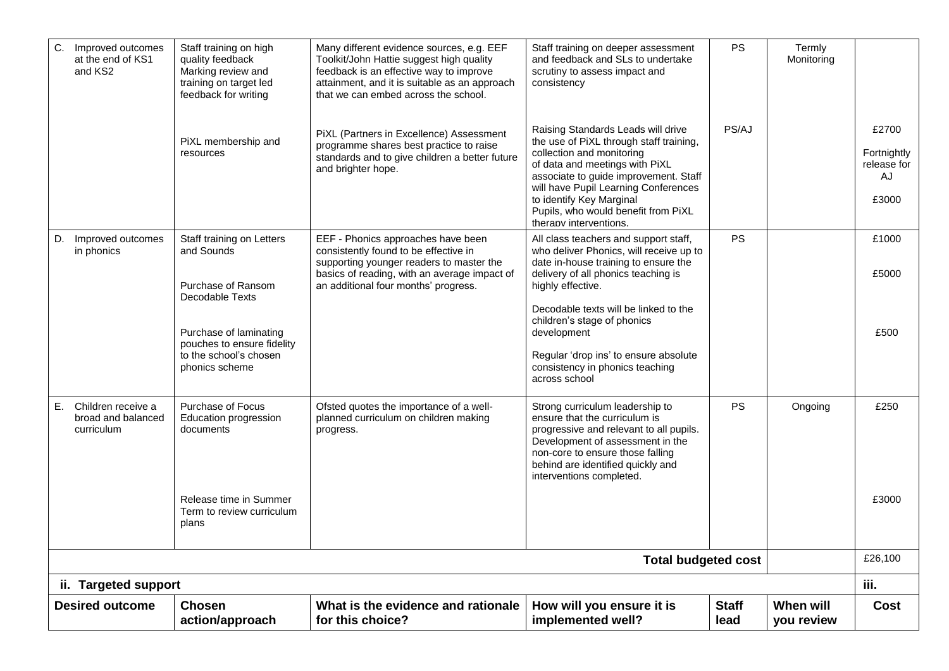| C. Improved outcomes<br>at the end of KS1<br>and KS2         | Staff training on high<br>quality feedback<br>Marking review and<br>training on target led<br>feedback for writing | Many different evidence sources, e.g. EEF<br>Toolkit/John Hattie suggest high quality<br>feedback is an effective way to improve<br>attainment, and it is suitable as an approach<br>that we can embed across the school. | Staff training on deeper assessment<br>and feedback and SLs to undertake<br>scrutiny to assess impact and<br>consistency                                                                                                                                                                                                   | <b>PS</b>            | Termly<br>Monitoring    |                                                    |
|--------------------------------------------------------------|--------------------------------------------------------------------------------------------------------------------|---------------------------------------------------------------------------------------------------------------------------------------------------------------------------------------------------------------------------|----------------------------------------------------------------------------------------------------------------------------------------------------------------------------------------------------------------------------------------------------------------------------------------------------------------------------|----------------------|-------------------------|----------------------------------------------------|
|                                                              | PiXL membership and<br>resources                                                                                   | PiXL (Partners in Excellence) Assessment<br>programme shares best practice to raise<br>standards and to give children a better future<br>and brighter hope.                                                               | Raising Standards Leads will drive<br>the use of PiXL through staff training,<br>collection and monitoring<br>of data and meetings with PiXL<br>associate to guide improvement. Staff<br>will have Pupil Learning Conferences<br>to identify Key Marginal<br>Pupils, who would benefit from PiXL<br>therapy interventions. | PS/AJ                |                         | £2700<br>Fortnightly<br>release for<br>AJ<br>£3000 |
| D. Improved outcomes<br>in phonics                           | Staff training on Letters<br>and Sounds<br>Purchase of Ransom<br>Decodable Texts                                   | EEF - Phonics approaches have been<br>consistently found to be effective in<br>supporting younger readers to master the<br>basics of reading, with an average impact of<br>an additional four months' progress.           | All class teachers and support staff,<br>who deliver Phonics, will receive up to<br>date in-house training to ensure the<br>delivery of all phonics teaching is<br>highly effective.<br>Decodable texts will be linked to the                                                                                              | <b>PS</b>            |                         | £1000<br>£5000                                     |
|                                                              | Purchase of laminating<br>pouches to ensure fidelity<br>to the school's chosen<br>phonics scheme                   |                                                                                                                                                                                                                           | children's stage of phonics<br>development<br>Regular 'drop ins' to ensure absolute<br>consistency in phonics teaching<br>across school                                                                                                                                                                                    |                      |                         | £500                                               |
| Е.<br>Children receive a<br>broad and balanced<br>curriculum | Purchase of Focus<br>Education progression<br>documents                                                            | Ofsted quotes the importance of a well-<br>planned curriculum on children making<br>progress.                                                                                                                             | Strong curriculum leadership to<br>ensure that the curriculum is<br>progressive and relevant to all pupils.<br>Development of assessment in the<br>non-core to ensure those falling<br>behind are identified quickly and<br>interventions completed.                                                                       | <b>PS</b>            | Ongoing                 | £250                                               |
|                                                              | Release time in Summer<br>Term to review curriculum<br>plans                                                       |                                                                                                                                                                                                                           |                                                                                                                                                                                                                                                                                                                            |                      |                         | £3000                                              |
|                                                              |                                                                                                                    |                                                                                                                                                                                                                           | <b>Total budgeted cost</b>                                                                                                                                                                                                                                                                                                 |                      |                         | £26,100                                            |
| ii. Targeted support                                         |                                                                                                                    |                                                                                                                                                                                                                           |                                                                                                                                                                                                                                                                                                                            |                      |                         | iii.                                               |
| <b>Desired outcome</b>                                       | <b>Chosen</b><br>action/approach                                                                                   | What is the evidence and rationale<br>for this choice?                                                                                                                                                                    | How will you ensure it is<br>implemented well?                                                                                                                                                                                                                                                                             | <b>Staff</b><br>lead | When will<br>you review | Cost                                               |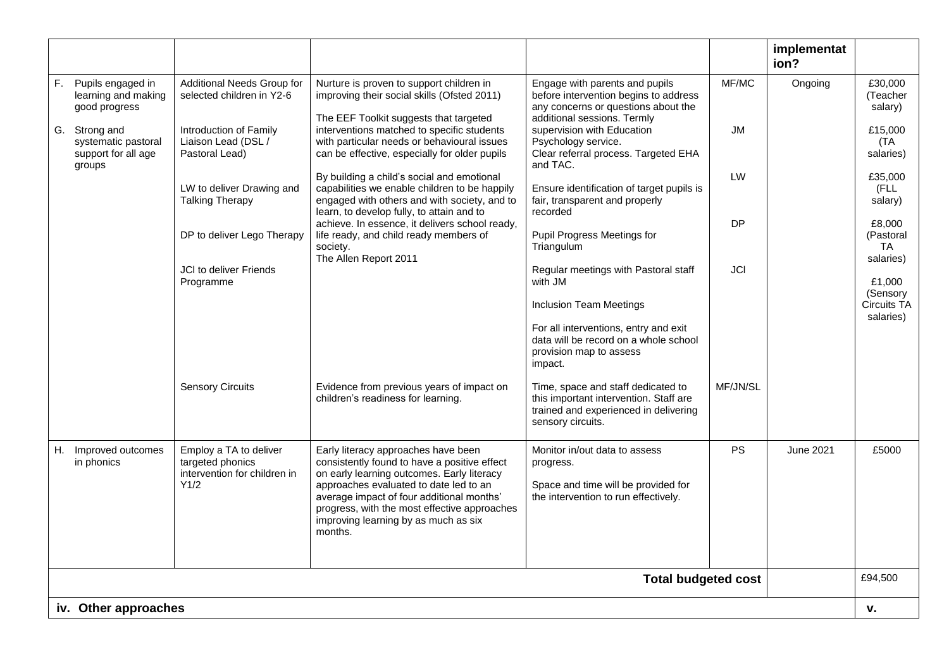|                                                                       |                                                                                    |                                                                                                                                                                                          |                                                                                                                                               |                                           | implementat<br>ion? |                                   |                                               |
|-----------------------------------------------------------------------|------------------------------------------------------------------------------------|------------------------------------------------------------------------------------------------------------------------------------------------------------------------------------------|-----------------------------------------------------------------------------------------------------------------------------------------------|-------------------------------------------|---------------------|-----------------------------------|-----------------------------------------------|
| F. Pupils engaged in<br>learning and making<br>good progress          | Additional Needs Group for<br>selected children in Y2-6                            | Nurture is proven to support children in<br>improving their social skills (Ofsted 2011)<br>The EEF Toolkit suggests that targeted                                                        | Engage with parents and pupils<br>before intervention begins to address<br>any concerns or questions about the<br>additional sessions. Termly | MF/MC                                     | Ongoing             | £30,000<br>(Teacher<br>salary)    |                                               |
| G. Strong and<br>systematic pastoral<br>support for all age<br>groups | Introduction of Family<br>Liaison Lead (DSL /<br>Pastoral Lead)                    | interventions matched to specific students<br>with particular needs or behavioural issues<br>can be effective, especially for older pupils                                               | supervision with Education<br>Psychology service.<br>Clear referral process. Targeted EHA<br>and TAC.                                         | <b>JM</b>                                 |                     | £15,000<br>(TA<br>salaries)       |                                               |
|                                                                       | LW to deliver Drawing and<br><b>Talking Therapy</b>                                | By building a child's social and emotional<br>capabilities we enable children to be happily<br>engaged with others and with society, and to<br>learn, to develop fully, to attain and to | Ensure identification of target pupils is<br>fair, transparent and properly<br>recorded                                                       | LW                                        |                     | £35,000<br>(FLL<br>salary)        |                                               |
|                                                                       | DP to deliver Lego Therapy                                                         | achieve. In essence, it delivers school ready,<br>life ready, and child ready members of<br>society.<br>The Allen Report 2011                                                            |                                                                                                                                               | Pupil Progress Meetings for<br>Triangulum | <b>DP</b>           |                                   | £8,000<br>(Pastoral<br><b>TA</b><br>salaries) |
|                                                                       | <b>JCI</b> to deliver Friends<br>Programme                                         |                                                                                                                                                                                          | Regular meetings with Pastoral staff<br>with JM<br><b>Inclusion Team Meetings</b>                                                             | JCI                                       |                     | £1,000<br>(Sensory<br>Circuits TA |                                               |
|                                                                       |                                                                                    |                                                                                                                                                                                          | For all interventions, entry and exit<br>data will be record on a whole school<br>provision map to assess<br>impact.                          |                                           |                     | salaries)                         |                                               |
|                                                                       | <b>Sensory Circuits</b>                                                            | Evidence from previous years of impact on<br>children's readiness for learning.                                                                                                          | Time, space and staff dedicated to<br>this important intervention. Staff are<br>trained and experienced in delivering<br>sensory circuits.    | MF/JN/SL                                  |                     |                                   |                                               |
| H. Improved outcomes<br>in phonics                                    | Employ a TA to deliver<br>targeted phonics<br>intervention for children in<br>Y1/2 | Early literacy approaches have been<br>consistently found to have a positive effect<br>on early learning outcomes. Early literacy<br>approaches evaluated to date led to an              | Monitor in/out data to assess<br>progress.<br>Space and time will be provided for                                                             | <b>PS</b>                                 | <b>June 2021</b>    | £5000                             |                                               |
|                                                                       |                                                                                    | average impact of four additional months'<br>progress, with the most effective approaches<br>improving learning by as much as six<br>months.                                             | the intervention to run effectively.                                                                                                          |                                           |                     |                                   |                                               |
|                                                                       |                                                                                    |                                                                                                                                                                                          | <b>Total budgeted cost</b>                                                                                                                    |                                           |                     | £94,500                           |                                               |
| iv. Other approaches                                                  |                                                                                    |                                                                                                                                                                                          |                                                                                                                                               |                                           |                     | v.                                |                                               |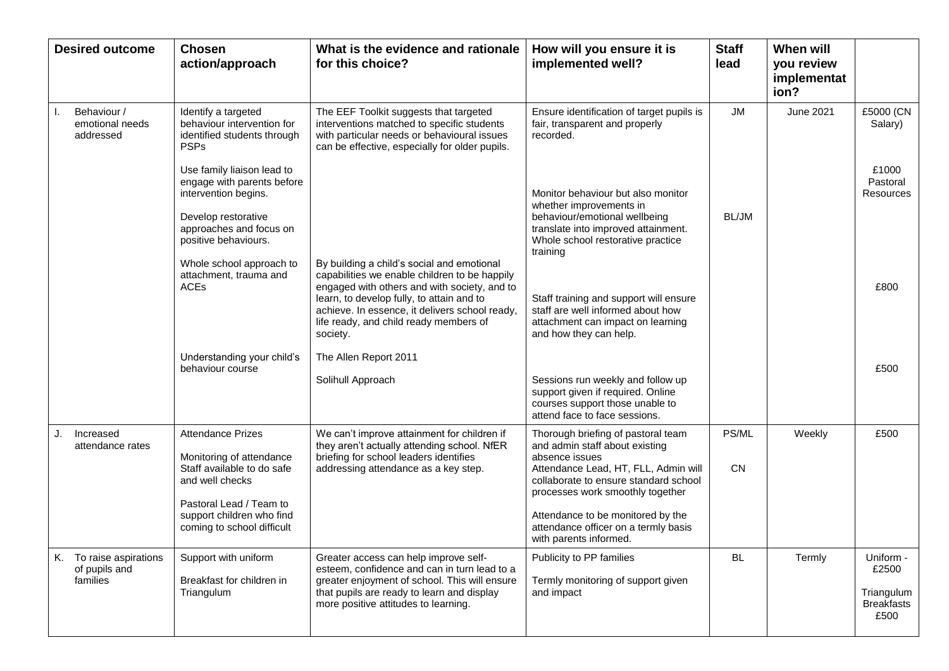|    | <b>Desired outcome</b>                               | <b>Chosen</b><br>action/approach                                                                                                                                                            | What is the evidence and rationale<br>for this choice?                                                                                                                                                                                             | How will you ensure it is<br>implemented well?                                                                                                                                                                                                                                                                     | <b>Staff</b><br>lead | When will<br>you review<br>implementat<br>ion? |                                                               |
|----|------------------------------------------------------|---------------------------------------------------------------------------------------------------------------------------------------------------------------------------------------------|----------------------------------------------------------------------------------------------------------------------------------------------------------------------------------------------------------------------------------------------------|--------------------------------------------------------------------------------------------------------------------------------------------------------------------------------------------------------------------------------------------------------------------------------------------------------------------|----------------------|------------------------------------------------|---------------------------------------------------------------|
|    | Behaviour /<br>emotional needs<br>addressed          | Identify a targeted<br>behaviour intervention for<br>identified students through<br><b>PSPs</b>                                                                                             | The EEF Toolkit suggests that targeted<br>interventions matched to specific students<br>with particular needs or behavioural issues<br>can be effective, especially for older pupils.                                                              | Ensure identification of target pupils is<br>fair, transparent and properly<br>recorded.                                                                                                                                                                                                                           | <b>JM</b>            | <b>June 2021</b>                               | £5000 (CN<br>Salary)                                          |
|    |                                                      | Use family liaison lead to<br>engage with parents before<br>intervention begins.<br>Develop restorative<br>approaches and focus on<br>positive behaviours.<br>Whole school approach to      | By building a child's social and emotional                                                                                                                                                                                                         | Monitor behaviour but also monitor<br>whether improvements in<br>behaviour/emotional wellbeing<br>translate into improved attainment.<br>Whole school restorative practice<br>training                                                                                                                             | BL/JM                |                                                | £1000<br>Pastoral<br>Resources                                |
|    |                                                      | attachment, trauma and<br><b>ACEs</b>                                                                                                                                                       | capabilities we enable children to be happily<br>engaged with others and with society, and to<br>learn, to develop fully, to attain and to<br>achieve. In essence, it delivers school ready,<br>life ready, and child ready members of<br>society. | Staff training and support will ensure<br>staff are well informed about how<br>attachment can impact on learning<br>and how they can help.                                                                                                                                                                         |                      |                                                | £800                                                          |
|    |                                                      | Understanding your child's<br>behaviour course                                                                                                                                              | The Allen Report 2011<br>Solihull Approach                                                                                                                                                                                                         | Sessions run weekly and follow up<br>support given if required. Online<br>courses support those unable to<br>attend face to face sessions.                                                                                                                                                                         |                      |                                                | £500                                                          |
| J. | Increased<br>attendance rates                        | <b>Attendance Prizes</b><br>Monitoring of attendance<br>Staff available to do safe<br>and well checks<br>Pastoral Lead / Team to<br>support children who find<br>coming to school difficult | We can't improve attainment for children if<br>they aren't actually attending school. NfER<br>briefing for school leaders identifies<br>addressing attendance as a key step.                                                                       | Thorough briefing of pastoral team<br>and admin staff about existing<br>absence issues<br>Attendance Lead, HT, FLL, Admin will<br>collaborate to ensure standard school<br>processes work smoothly together<br>Attendance to be monitored by the<br>attendance officer on a termly basis<br>with parents informed. | PS/ML<br><b>CN</b>   | Weekly                                         | £500                                                          |
|    | K. To raise aspirations<br>of pupils and<br>families | Support with uniform<br>Breakfast for children in<br>Triangulum                                                                                                                             | Greater access can help improve self-<br>esteem, confidence and can in turn lead to a<br>greater enjoyment of school. This will ensure<br>that pupils are ready to learn and display<br>more positive attitudes to learning.                       | Publicity to PP families<br>Termly monitoring of support given<br>and impact                                                                                                                                                                                                                                       | <b>BL</b>            | Termly                                         | Uniform -<br>£2500<br>Triangulum<br><b>Breakfasts</b><br>£500 |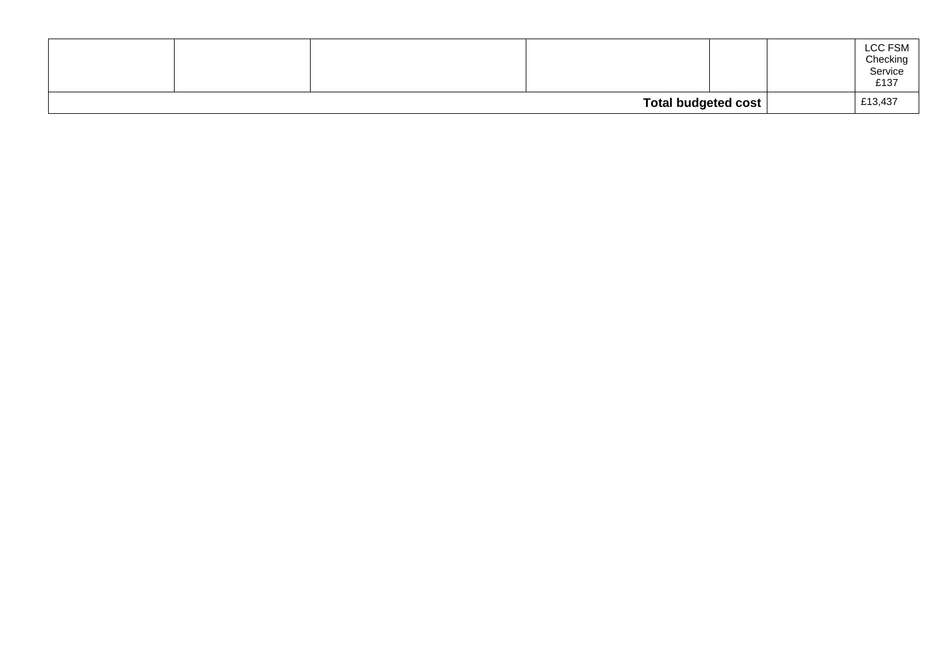|  |                     |  | LCC FSM<br>Checking<br>Service<br>£137 |
|--|---------------------|--|----------------------------------------|
|  | Total budgeted cost |  | £13,437                                |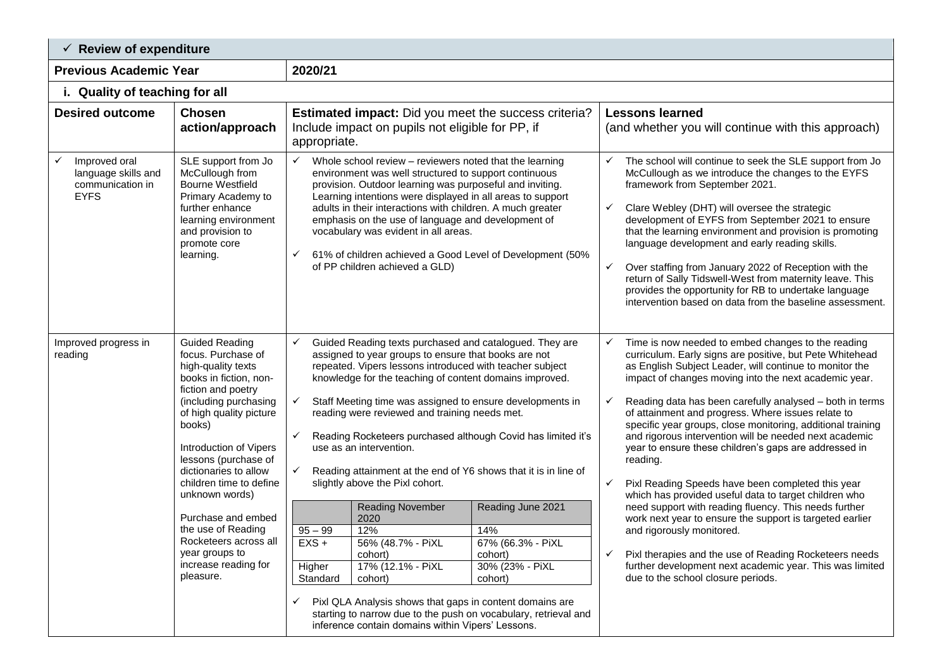| $\checkmark$ Review of expenditure                                                      |                                                                                                                                                                                                                                                                                                                                                                                                                                     |                                                                                                                                                                                                                                                                                                                                                                                                                                                                                                                                                                                                                                                                                                                                                                                                                                                                                                                                                        |                                                                                        |                                                                                                                                                                                                                                                                                                                                                                                                                                                                                                                                                                                                                                                                                                                                                                                                                                                                                                                                                                                                                |  |  |  |  |
|-----------------------------------------------------------------------------------------|-------------------------------------------------------------------------------------------------------------------------------------------------------------------------------------------------------------------------------------------------------------------------------------------------------------------------------------------------------------------------------------------------------------------------------------|--------------------------------------------------------------------------------------------------------------------------------------------------------------------------------------------------------------------------------------------------------------------------------------------------------------------------------------------------------------------------------------------------------------------------------------------------------------------------------------------------------------------------------------------------------------------------------------------------------------------------------------------------------------------------------------------------------------------------------------------------------------------------------------------------------------------------------------------------------------------------------------------------------------------------------------------------------|----------------------------------------------------------------------------------------|----------------------------------------------------------------------------------------------------------------------------------------------------------------------------------------------------------------------------------------------------------------------------------------------------------------------------------------------------------------------------------------------------------------------------------------------------------------------------------------------------------------------------------------------------------------------------------------------------------------------------------------------------------------------------------------------------------------------------------------------------------------------------------------------------------------------------------------------------------------------------------------------------------------------------------------------------------------------------------------------------------------|--|--|--|--|
| <b>Previous Academic Year</b>                                                           |                                                                                                                                                                                                                                                                                                                                                                                                                                     | 2020/21                                                                                                                                                                                                                                                                                                                                                                                                                                                                                                                                                                                                                                                                                                                                                                                                                                                                                                                                                |                                                                                        |                                                                                                                                                                                                                                                                                                                                                                                                                                                                                                                                                                                                                                                                                                                                                                                                                                                                                                                                                                                                                |  |  |  |  |
| i. Quality of teaching for all                                                          |                                                                                                                                                                                                                                                                                                                                                                                                                                     |                                                                                                                                                                                                                                                                                                                                                                                                                                                                                                                                                                                                                                                                                                                                                                                                                                                                                                                                                        |                                                                                        |                                                                                                                                                                                                                                                                                                                                                                                                                                                                                                                                                                                                                                                                                                                                                                                                                                                                                                                                                                                                                |  |  |  |  |
| <b>Desired outcome</b>                                                                  | <b>Chosen</b><br>action/approach                                                                                                                                                                                                                                                                                                                                                                                                    | <b>Estimated impact:</b> Did you meet the success criteria?<br>Include impact on pupils not eligible for PP, if<br>appropriate.                                                                                                                                                                                                                                                                                                                                                                                                                                                                                                                                                                                                                                                                                                                                                                                                                        |                                                                                        | <b>Lessons learned</b><br>(and whether you will continue with this approach)                                                                                                                                                                                                                                                                                                                                                                                                                                                                                                                                                                                                                                                                                                                                                                                                                                                                                                                                   |  |  |  |  |
| Improved oral<br>$\checkmark$<br>language skills and<br>communication in<br><b>EYFS</b> | SLE support from Jo<br>McCullough from<br><b>Bourne Westfield</b><br>Primary Academy to<br>further enhance<br>learning environment<br>and provision to<br>promote core<br>learning.                                                                                                                                                                                                                                                 | Whole school review - reviewers noted that the learning<br>$\checkmark$<br>environment was well structured to support continuous<br>provision. Outdoor learning was purposeful and inviting.<br>Learning intentions were displayed in all areas to support<br>adults in their interactions with children. A much greater<br>emphasis on the use of language and development of<br>vocabulary was evident in all areas.<br>61% of children achieved a Good Level of Development (50%<br>✓<br>of PP children achieved a GLD)                                                                                                                                                                                                                                                                                                                                                                                                                             |                                                                                        | The school will continue to seek the SLE support from Jo<br>✓<br>McCullough as we introduce the changes to the EYFS<br>framework from September 2021.<br>Clare Webley (DHT) will oversee the strategic<br>$\checkmark$<br>development of EYFS from September 2021 to ensure<br>that the learning environment and provision is promoting<br>language development and early reading skills.<br>Over staffing from January 2022 of Reception with the<br>return of Sally Tidswell-West from maternity leave. This<br>provides the opportunity for RB to undertake language<br>intervention based on data from the baseline assessment.                                                                                                                                                                                                                                                                                                                                                                            |  |  |  |  |
| Improved progress in<br>reading                                                         | <b>Guided Reading</b><br>focus. Purchase of<br>high-quality texts<br>books in fiction, non-<br>fiction and poetry<br>(including purchasing<br>of high quality picture<br>books)<br>Introduction of Vipers<br>lessons (purchase of<br>dictionaries to allow<br>children time to define<br>unknown words)<br>Purchase and embed<br>the use of Reading<br>Rocketeers across all<br>year groups to<br>increase reading for<br>pleasure. | ✓<br>Guided Reading texts purchased and catalogued. They are<br>assigned to year groups to ensure that books are not<br>repeated. Vipers lessons introduced with teacher subject<br>knowledge for the teaching of content domains improved.<br>Staff Meeting time was assigned to ensure developments in<br>$\checkmark$<br>reading were reviewed and training needs met.<br>Reading Rocketeers purchased although Covid has limited it's<br>$\checkmark$<br>use as an intervention.<br>$\checkmark$<br>Reading attainment at the end of Y6 shows that it is in line of<br>slightly above the Pixl cohort.<br><b>Reading November</b><br>2020<br>$95 - 99$<br>12%<br>$EXS +$<br>56% (48.7% - PiXL<br>cohort)<br>17% (12.1% - PiXL<br>Higher<br>Standard<br>cohort)<br>Pixl QLA Analysis shows that gaps in content domains are<br>starting to narrow due to the push on vocabulary, retrieval and<br>inference contain domains within Vipers' Lessons. | Reading June 2021<br>14%<br>67% (66.3% - PiXL<br>cohort)<br>30% (23% - PiXL<br>cohort) | Time is now needed to embed changes to the reading<br>$\checkmark$<br>curriculum. Early signs are positive, but Pete Whitehead<br>as English Subject Leader, will continue to monitor the<br>impact of changes moving into the next academic year.<br>Reading data has been carefully analysed - both in terms<br>$\checkmark$<br>of attainment and progress. Where issues relate to<br>specific year groups, close monitoring, additional training<br>and rigorous intervention will be needed next academic<br>year to ensure these children's gaps are addressed in<br>reading.<br>Pixl Reading Speeds have been completed this year<br>which has provided useful data to target children who<br>need support with reading fluency. This needs further<br>work next year to ensure the support is targeted earlier<br>and rigorously monitored.<br>Pixl therapies and the use of Reading Rocketeers needs<br>further development next academic year. This was limited<br>due to the school closure periods. |  |  |  |  |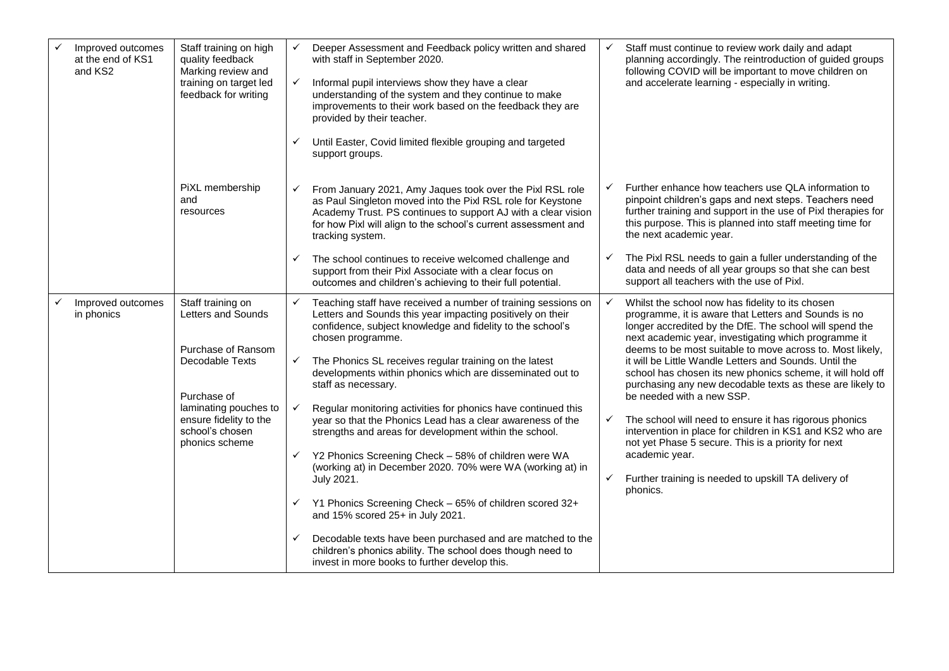| Improved outcomes<br>at the end of KS1<br>and KS2 | Staff training on high<br>quality feedback<br>Marking review and<br>training on target led<br>feedback for writing                                                                      | $\checkmark$<br>$\checkmark$<br>$\checkmark$ | Deeper Assessment and Feedback policy written and shared<br>with staff in September 2020.<br>Informal pupil interviews show they have a clear<br>understanding of the system and they continue to make<br>improvements to their work based on the feedback they are<br>provided by their teacher.<br>Until Easter, Covid limited flexible grouping and targeted<br>support groups.                                                                                                                                                                                                                                                                                                                                                                                                                                 |                        | Staff must continue to review work daily and adapt<br>planning accordingly. The reintroduction of guided groups<br>following COVID will be important to move children on<br>and accelerate learning - especially in writing.                                                                                                                                                                                                                                                                                                                                                                                                                                                                                                                                                   |
|---------------------------------------------------|-----------------------------------------------------------------------------------------------------------------------------------------------------------------------------------------|----------------------------------------------|--------------------------------------------------------------------------------------------------------------------------------------------------------------------------------------------------------------------------------------------------------------------------------------------------------------------------------------------------------------------------------------------------------------------------------------------------------------------------------------------------------------------------------------------------------------------------------------------------------------------------------------------------------------------------------------------------------------------------------------------------------------------------------------------------------------------|------------------------|--------------------------------------------------------------------------------------------------------------------------------------------------------------------------------------------------------------------------------------------------------------------------------------------------------------------------------------------------------------------------------------------------------------------------------------------------------------------------------------------------------------------------------------------------------------------------------------------------------------------------------------------------------------------------------------------------------------------------------------------------------------------------------|
|                                                   | PiXL membership<br>and<br>resources                                                                                                                                                     | $\checkmark$                                 | From January 2021, Amy Jaques took over the Pixl RSL role<br>as Paul Singleton moved into the Pixl RSL role for Keystone<br>Academy Trust. PS continues to support AJ with a clear vision<br>for how Pixl will align to the school's current assessment and<br>tracking system.                                                                                                                                                                                                                                                                                                                                                                                                                                                                                                                                    | ✓                      | Further enhance how teachers use QLA information to<br>pinpoint children's gaps and next steps. Teachers need<br>further training and support in the use of Pixl therapies for<br>this purpose. This is planned into staff meeting time for<br>the next academic year.                                                                                                                                                                                                                                                                                                                                                                                                                                                                                                         |
|                                                   |                                                                                                                                                                                         | $\checkmark$                                 | The school continues to receive welcomed challenge and<br>support from their Pixl Associate with a clear focus on<br>outcomes and children's achieving to their full potential.                                                                                                                                                                                                                                                                                                                                                                                                                                                                                                                                                                                                                                    |                        | The Pixl RSL needs to gain a fuller understanding of the<br>data and needs of all year groups so that she can best<br>support all teachers with the use of Pixl.                                                                                                                                                                                                                                                                                                                                                                                                                                                                                                                                                                                                               |
| Improved outcomes<br>in phonics                   | Staff training on<br>Letters and Sounds<br>Purchase of Ransom<br>Decodable Texts<br>Purchase of<br>laminating pouches to<br>ensure fidelity to the<br>school's chosen<br>phonics scheme | $\checkmark$<br>$\checkmark$<br>$\checkmark$ | Teaching staff have received a number of training sessions on<br>Letters and Sounds this year impacting positively on their<br>confidence, subject knowledge and fidelity to the school's<br>chosen programme.<br>The Phonics SL receives regular training on the latest<br>developments within phonics which are disseminated out to<br>staff as necessary.<br>Regular monitoring activities for phonics have continued this<br>year so that the Phonics Lead has a clear awareness of the<br>strengths and areas for development within the school.<br>$\checkmark$ Y2 Phonics Screening Check - 58% of children were WA<br>(working at) in December 2020. 70% were WA (working at) in<br>July 2021.<br>$\checkmark$ Y1 Phonics Screening Check - 65% of children scored 32+<br>and 15% scored 25+ in July 2021. | $\checkmark$<br>✓<br>✓ | Whilst the school now has fidelity to its chosen<br>programme, it is aware that Letters and Sounds is no<br>longer accredited by the DfE. The school will spend the<br>next academic year, investigating which programme it<br>deems to be most suitable to move across to. Most likely,<br>it will be Little Wandle Letters and Sounds. Until the<br>school has chosen its new phonics scheme, it will hold off<br>purchasing any new decodable texts as these are likely to<br>be needed with a new SSP.<br>The school will need to ensure it has rigorous phonics<br>intervention in place for children in KS1 and KS2 who are<br>not yet Phase 5 secure. This is a priority for next<br>academic year.<br>Further training is needed to upskill TA delivery of<br>phonics. |
|                                                   |                                                                                                                                                                                         | $\checkmark$                                 | Decodable texts have been purchased and are matched to the<br>children's phonics ability. The school does though need to<br>invest in more books to further develop this.                                                                                                                                                                                                                                                                                                                                                                                                                                                                                                                                                                                                                                          |                        |                                                                                                                                                                                                                                                                                                                                                                                                                                                                                                                                                                                                                                                                                                                                                                                |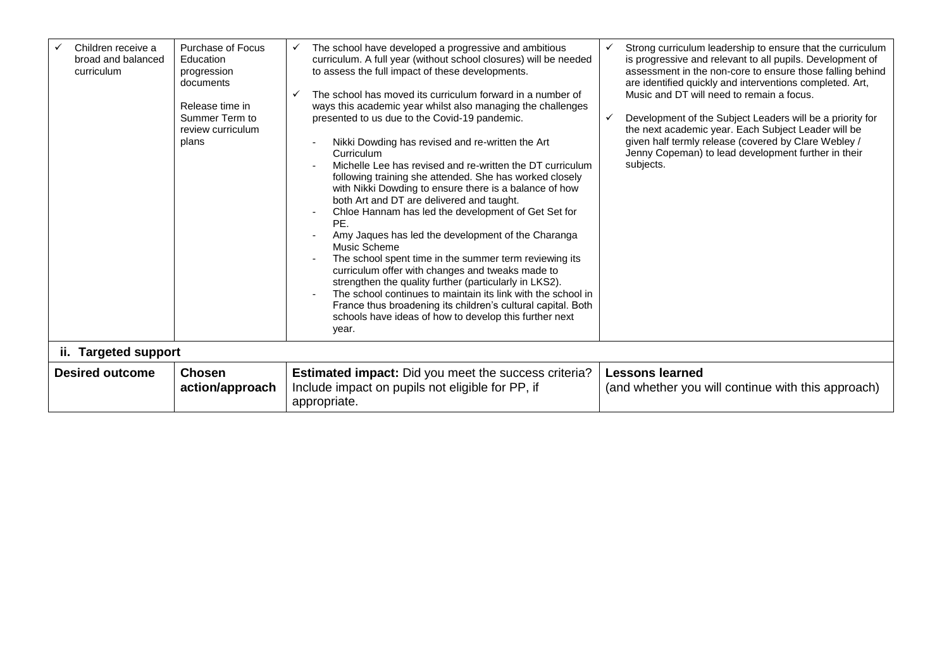| Children receive a<br>broad and balanced<br>curriculum | <b>Purchase of Focus</b><br>Education<br>progression<br>documents<br>Release time in<br>Summer Term to<br>review curriculum<br>plans | The school have developed a progressive and ambitious<br>✓<br>curriculum. A full year (without school closures) will be needed<br>to assess the full impact of these developments.<br>The school has moved its curriculum forward in a number of<br>ways this academic year whilst also managing the challenges<br>presented to us due to the Covid-19 pandemic.<br>Nikki Dowding has revised and re-written the Art<br>Curriculum<br>Michelle Lee has revised and re-written the DT curriculum<br>following training she attended. She has worked closely<br>with Nikki Dowding to ensure there is a balance of how<br>both Art and DT are delivered and taught.<br>Chloe Hannam has led the development of Get Set for<br>PE.<br>Amy Jaques has led the development of the Charanga<br>Music Scheme<br>The school spent time in the summer term reviewing its<br>curriculum offer with changes and tweaks made to<br>strengthen the quality further (particularly in LKS2).<br>The school continues to maintain its link with the school in<br>France thus broadening its children's cultural capital. Both<br>schools have ideas of how to develop this further next<br>year. | Strong curriculum leadership to ensure that the curriculum<br>is progressive and relevant to all pupils. Development of<br>assessment in the non-core to ensure those falling behind<br>are identified quickly and interventions completed. Art,<br>Music and DT will need to remain a focus.<br>Development of the Subject Leaders will be a priority for<br>$\checkmark$<br>the next academic year. Each Subject Leader will be<br>given half termly release (covered by Clare Webley /<br>Jenny Copeman) to lead development further in their<br>subjects. |
|--------------------------------------------------------|--------------------------------------------------------------------------------------------------------------------------------------|----------------------------------------------------------------------------------------------------------------------------------------------------------------------------------------------------------------------------------------------------------------------------------------------------------------------------------------------------------------------------------------------------------------------------------------------------------------------------------------------------------------------------------------------------------------------------------------------------------------------------------------------------------------------------------------------------------------------------------------------------------------------------------------------------------------------------------------------------------------------------------------------------------------------------------------------------------------------------------------------------------------------------------------------------------------------------------------------------------------------------------------------------------------------------------|---------------------------------------------------------------------------------------------------------------------------------------------------------------------------------------------------------------------------------------------------------------------------------------------------------------------------------------------------------------------------------------------------------------------------------------------------------------------------------------------------------------------------------------------------------------|
| ii. Targeted support                                   |                                                                                                                                      |                                                                                                                                                                                                                                                                                                                                                                                                                                                                                                                                                                                                                                                                                                                                                                                                                                                                                                                                                                                                                                                                                                                                                                                  |                                                                                                                                                                                                                                                                                                                                                                                                                                                                                                                                                               |
| <b>Desired outcome</b>                                 | <b>Chosen</b><br>action/approach                                                                                                     | <b>Estimated impact:</b> Did you meet the success criteria?<br>Include impact on pupils not eligible for PP, if<br>appropriate.                                                                                                                                                                                                                                                                                                                                                                                                                                                                                                                                                                                                                                                                                                                                                                                                                                                                                                                                                                                                                                                  | <b>Lessons learned</b><br>(and whether you will continue with this approach)                                                                                                                                                                                                                                                                                                                                                                                                                                                                                  |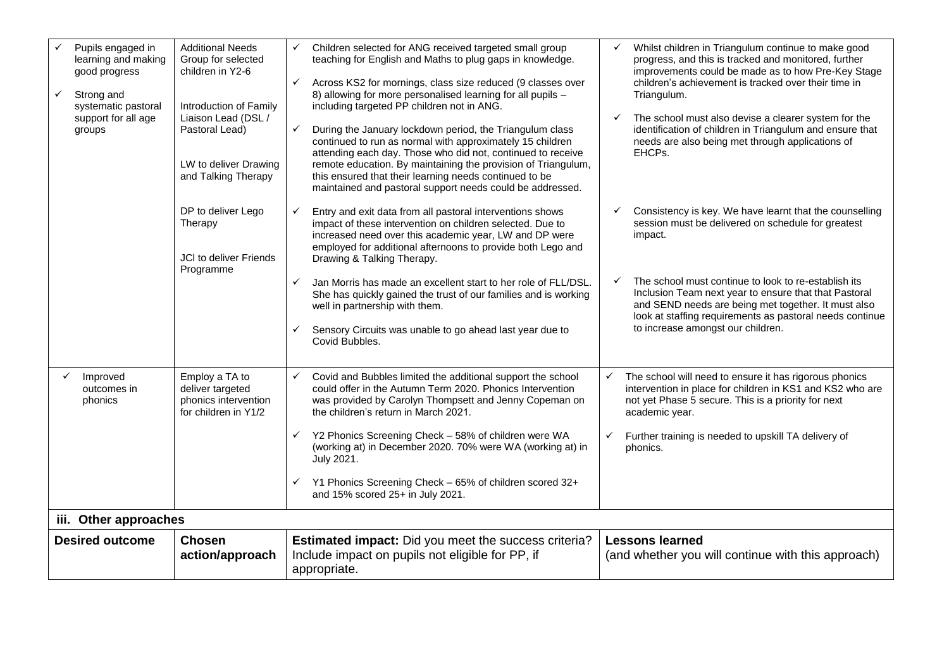| $\checkmark$           | Pupils engaged in<br>learning and making<br>good progress<br>Strong and<br>systematic pastoral<br>support for all age<br>groups | <b>Additional Needs</b><br>Group for selected<br>children in Y2-6<br>Introduction of Family<br>Liaison Lead (DSL /<br>Pastoral Lead)<br>LW to deliver Drawing<br>and Talking Therapy | $\checkmark$<br>$\checkmark$<br>$\checkmark$ | Children selected for ANG received targeted small group<br>teaching for English and Maths to plug gaps in knowledge.<br>Across KS2 for mornings, class size reduced (9 classes over<br>8) allowing for more personalised learning for all pupils -<br>including targeted PP children not in ANG.<br>During the January lockdown period, the Triangulum class<br>continued to run as normal with approximately 15 children<br>attending each day. Those who did not, continued to receive<br>remote education. By maintaining the provision of Triangulum,<br>this ensured that their learning needs continued to be<br>maintained and pastoral support needs could be addressed. | $\checkmark$                 | Whilst children in Triangulum continue to make good<br>progress, and this is tracked and monitored, further<br>improvements could be made as to how Pre-Key Stage<br>children's achievement is tracked over their time in<br>Triangulum.<br>The school must also devise a clearer system for the<br>identification of children in Triangulum and ensure that<br>needs are also being met through applications of<br>EHCPs. |  |
|------------------------|---------------------------------------------------------------------------------------------------------------------------------|--------------------------------------------------------------------------------------------------------------------------------------------------------------------------------------|----------------------------------------------|----------------------------------------------------------------------------------------------------------------------------------------------------------------------------------------------------------------------------------------------------------------------------------------------------------------------------------------------------------------------------------------------------------------------------------------------------------------------------------------------------------------------------------------------------------------------------------------------------------------------------------------------------------------------------------|------------------------------|----------------------------------------------------------------------------------------------------------------------------------------------------------------------------------------------------------------------------------------------------------------------------------------------------------------------------------------------------------------------------------------------------------------------------|--|
|                        |                                                                                                                                 | DP to deliver Lego<br>Therapy<br>JCI to deliver Friends<br>Programme                                                                                                                 | $\checkmark$<br>$\checkmark$<br>✓            | Entry and exit data from all pastoral interventions shows<br>impact of these intervention on children selected. Due to<br>increased need over this academic year, LW and DP were<br>employed for additional afternoons to provide both Lego and<br>Drawing & Talking Therapy.<br>Jan Morris has made an excellent start to her role of FLL/DSL.<br>She has quickly gained the trust of our families and is working<br>well in partnership with them.<br>Sensory Circuits was unable to go ahead last year due to<br>Covid Bubbles.                                                                                                                                               | ✓<br>$\checkmark$            | Consistency is key. We have learnt that the counselling<br>session must be delivered on schedule for greatest<br>impact.<br>The school must continue to look to re-establish its<br>Inclusion Team next year to ensure that that Pastoral<br>and SEND needs are being met together. It must also<br>look at staffing requirements as pastoral needs continue<br>to increase amongst our children.                          |  |
| ✓                      | Improved<br>outcomes in<br>phonics                                                                                              | Employ a TA to<br>deliver targeted<br>phonics intervention<br>for children in Y1/2                                                                                                   | $\checkmark$<br>$\checkmark$<br>$\checkmark$ | Covid and Bubbles limited the additional support the school<br>could offer in the Autumn Term 2020. Phonics Intervention<br>was provided by Carolyn Thompsett and Jenny Copeman on<br>the children's return in March 2021.<br>Y2 Phonics Screening Check - 58% of children were WA<br>(working at) in December 2020. 70% were WA (working at) in<br>July 2021.<br>Y1 Phonics Screening Check - 65% of children scored 32+<br>and 15% scored 25+ in July 2021.                                                                                                                                                                                                                    | $\checkmark$<br>$\checkmark$ | The school will need to ensure it has rigorous phonics<br>intervention in place for children in KS1 and KS2 who are<br>not yet Phase 5 secure. This is a priority for next<br>academic year.<br>Further training is needed to upskill TA delivery of<br>phonics.                                                                                                                                                           |  |
|                        | iii. Other approaches                                                                                                           |                                                                                                                                                                                      |                                              |                                                                                                                                                                                                                                                                                                                                                                                                                                                                                                                                                                                                                                                                                  |                              |                                                                                                                                                                                                                                                                                                                                                                                                                            |  |
| <b>Desired outcome</b> |                                                                                                                                 | <b>Chosen</b><br>action/approach                                                                                                                                                     |                                              | <b>Estimated impact:</b> Did you meet the success criteria?<br>Include impact on pupils not eligible for PP, if<br>appropriate.                                                                                                                                                                                                                                                                                                                                                                                                                                                                                                                                                  |                              | <b>Lessons learned</b><br>(and whether you will continue with this approach)                                                                                                                                                                                                                                                                                                                                               |  |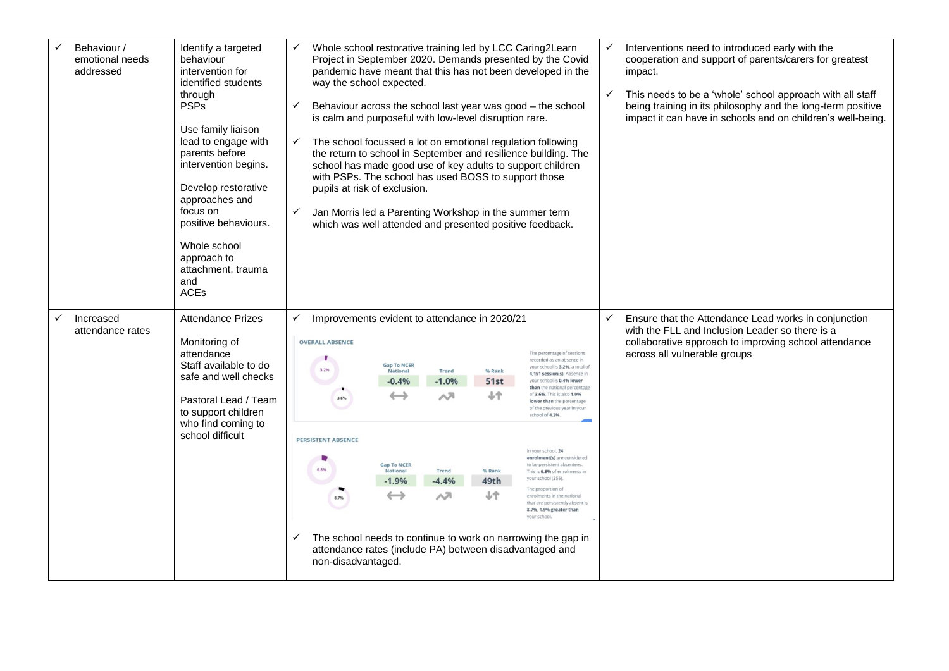| Behaviour /<br>emotional needs<br>addressed | Identify a targeted<br>behaviour<br>intervention for<br>identified students<br>through<br><b>PSPs</b><br>Use family liaison<br>lead to engage with<br>parents before<br>intervention begins.<br>Develop restorative<br>approaches and<br>focus on<br>positive behaviours.<br>Whole school<br>approach to<br>attachment, trauma<br>and<br><b>ACEs</b> | ✓<br>way the school expected.<br>$\checkmark$<br>is calm and purposeful with low-level disruption rare.<br>✓<br>with PSPs. The school has used BOSS to support those<br>pupils at risk of exclusion.<br>Jan Morris led a Parenting Workshop in the summer term<br>$\checkmark$<br>which was well attended and presented positive feedback. |                                                                                                             |                                                |                                             | Whole school restorative training led by LCC Caring2Learn<br>Project in September 2020. Demands presented by the Covid<br>pandemic have meant that this has not been developed in the<br>Behaviour across the school last year was good - the school<br>The school focussed a lot on emotional regulation following<br>the return to school in September and resilience building. The<br>school has made good use of key adults to support children                                                                                                                                                                                              | $\checkmark$ | Interventions need to introduced early with the<br>cooperation and support of parents/carers for greatest<br>impact.<br>This needs to be a 'whole' school approach with all staff<br>being training in its philosophy and the long-term positive<br>impact it can have in schools and on children's well-being. |
|---------------------------------------------|------------------------------------------------------------------------------------------------------------------------------------------------------------------------------------------------------------------------------------------------------------------------------------------------------------------------------------------------------|--------------------------------------------------------------------------------------------------------------------------------------------------------------------------------------------------------------------------------------------------------------------------------------------------------------------------------------------|-------------------------------------------------------------------------------------------------------------|------------------------------------------------|---------------------------------------------|--------------------------------------------------------------------------------------------------------------------------------------------------------------------------------------------------------------------------------------------------------------------------------------------------------------------------------------------------------------------------------------------------------------------------------------------------------------------------------------------------------------------------------------------------------------------------------------------------------------------------------------------------|--------------|-----------------------------------------------------------------------------------------------------------------------------------------------------------------------------------------------------------------------------------------------------------------------------------------------------------------|
| Increased<br>attendance rates               | <b>Attendance Prizes</b><br>Monitoring of<br>attendance<br>Staff available to do<br>safe and well checks<br>Pastoral Lead / Team<br>to support children<br>who find coming to<br>school difficult                                                                                                                                                    | ✓<br>Improvements evident to attendance in 2020/21<br><b>OVERALL ABSENCE</b><br>3.2%<br>3.6%<br><b>PERSISTENT ABSENCE</b><br>8.7%<br>✓<br>attendance rates (include PA) between disadvantaged and<br>non-disadvantaged.                                                                                                                    | <b>Gap To NCER</b><br>National<br>$-0.4%$<br><b>Gap To NCER</b><br>National<br>$-1.9%$<br>$\hookrightarrow$ | Trend<br>$-1.0%$<br>ᄉ<br>Trend<br>$-4.4%$<br>ᇧ | % Rank<br>51st<br>ተራ<br>% Rank<br>49th<br>ተ | The percentage of sessions<br>recorded as an absence in<br>your school is 3.2%, a total of<br>4.151 session(s). Absence in<br>vour school is 0.4% lower<br>than the national percentage<br>of 3.6%. This is also 1.0%<br>lower than the percentage<br>of the previous year in your<br>school of 4.2%.<br>In your school. 24<br>enrolment(s) are considered<br>to be persistent absentees.<br>This is 6.8% of enrolments in<br>vour school (355).<br>The proportion of<br>enrolments in the national<br>that are persistently absent is<br>8.7%, 1.9% greater than<br>vour school<br>The school needs to continue to work on narrowing the gap in |              | Ensure that the Attendance Lead works in conjunction<br>with the FLL and Inclusion Leader so there is a<br>collaborative approach to improving school attendance<br>across all vulnerable groups                                                                                                                |